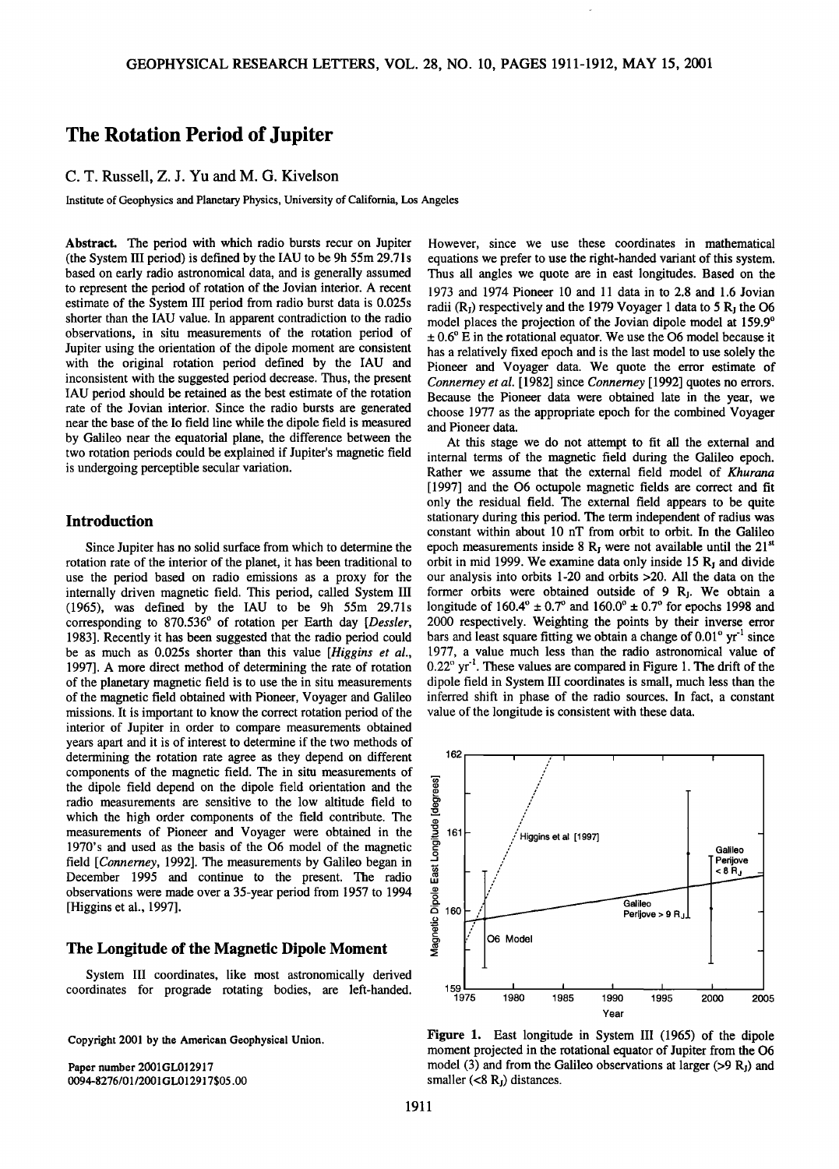# **The Rotation Period of Jupiter**

### **C. T. Russell, Z. J. Yu and M. G. Kivelson**

**Institute of Geophysics and Planetary Physics, University of California, Los Angeles** 

**Abstract. The period with which radio bursts recur on Jupiter (the System III period) is defined by the IAU to be 9h 55m 29.71s based on early radio astronomical data, and is generally assumed to represent the period of rotation of the Jovian interior. A recent estimate of the System III period from radio burst data is 0.025s shorter than the IAU value. In apparent contradiction to the radio observations, in situ measurements of the rotation period of Jupiter using the orientation of the dipole moment are consistent with the original rotation period defined by the IAU and inconsistent with the suggested period decrease. Thus, the present IAU period should be retained as the best estimate of the rotation rate of the Jovian interior. Since the radio bursts are generated near the base of the Io field line while the dipole field is measured by Galileo near the equatorial plane, the difference between the two rotation periods could be explained if Jupiter's magnetic field is undergoing perceptible secular variation.** 

# **Introduction**

**Since Jupiter has no solid surface from which to determine the rotation rate of the interior of the planet, it has been traditional to use the period based on radio emissions as a proxy for the internally driven magnetic field. This period, called System III (1965), was defined by the IAU to be 9h 55m 29.71s**  corresponding to 870.536° of rotation per Earth day [*Dessler*, **1983]. Recently it has been suggested that the radio period could be as much as 0.025s shorter than this value [Higgins et al., 1997]. A more direct method of determining the rate of rotation of the planetary magnetic field is to use the in situ measurements of the magnetic field obtained with Pioneer, Voyager and Galileo missions. It is important to know the correct rotation period of the interior of Jupiter in order to compare measurements obtained years apart and it is of interest to determine if the two methods of determining the rotation rate agree as they depend on different components of the magnetic field. The in situ measurements of the dipole field depend on the dipole field orientation and the radio measurements are sensitive to the low altitude field to which the high order components of the field contribute. The measurements of Pioneer and Voyager were obtained in the 1970's and used as the basis of the 06 model of the magnetic field [Connerhey, 1992]. The measurements by Galileo began in December 1995 and continue to the present. The radio observations were made over a 35-year period from 1957 to 1994 [Higgins et al., 1997].** 

## **The Longitude of the Magnetic Dipole Moment**

**System III coordinates, like most astronomically derived coordinates for prograde rotating bodies, are left-handed.** 

**Copyright 2001 by the American Geophysical Union.** 

**Paper number 2001GL012917 0094-8276/01/2001GL012917505.00**  **However, since we use these coordinates in mathematical equations we prefer to use the right-handed variant of this system. Thus all angles we quote are in east longitudes. Based on the 1973 and 1974 Pioneer 10 and 11 data in to 2.8 and 1.6 Jovian radii (Rj) respectively and the 1979 Voyager 1 data to 5 Rj the 06 model places the projection of the Jovian dipole model at 159.9" \_+ 0.6 ø E in the rotational equator. We use the 06 model because it has a relatively fixed epoch and is the last model to use solely the Pioneer and Voyager data. We quote the error estimate of Connerhey et al. [1982] since Connerney [1992] quotes no errors. Because the Pioneer data were obtained late in the year, we**  choose 1977 as the appropriate epoch for the combined Voyager **and Pioneer data.** 

**At this stage we do not attempt to fit all the external and internal terms of the magnetic field during the Galileo epoch. Rather we assume that the external field model of Khurana [1997] and the 06 octupole magnetic fields are correct and fit only the residual field. The external field appears to be quite stationary during this period. The term independent of radius was constant within about 10 nT from orbit to orbit. In the Galileo**  epoch measurements inside 8 R<sub>I</sub> were not available until the 21<sup>st</sup> orbit in mid 1999. We examine data only inside 15 R<sub>I</sub> and divide **our analysis into orbits 1-20 and orbits >20. All the data on the former orbits were obtained outside of 9 Rj. We obtain a**  longitude of  $160.4^{\circ} \pm 0.7^{\circ}$  and  $160.0^{\circ} \pm 0.7^{\circ}$  for epochs 1998 and **2000 respectively. Weighting the points by their inverse error**  bars and least square fitting we obtain a change of  $0.01^{\circ}$  yr<sup>-1</sup> since **1977, a value much less than the radio astronomical value of**  0.22<sup>°</sup> vr<sup>-1</sup>. These values are compared in Figure 1. The drift of the **dipole field in System III coordinates is small, much less than the inferred shift in phase of the radio sources. In fact, a constant value of the longitude is consistent with these data.** 



**Figure 1. East longitude in System III (1965) of the dipole moment projected in the rotational equator of Jupiter from the 06**  model (3) and from the Galileo observations at larger (>9 R<sub>t</sub>) and **smaller (<8 Rj) distances.**